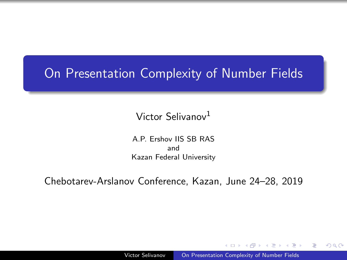### <span id="page-0-0"></span>On Presentation Complexity of Number Fields

#### Victor Selivanov<sup>1</sup>

A.P. Ershov IIS SB RAS and Kazan Federal University

Chebotarev-Arslanov Conference, Kazan, June 24–28, 2019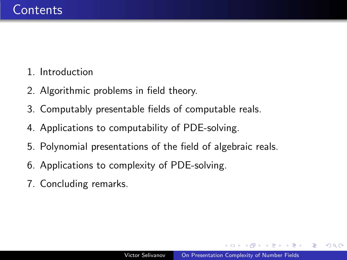- 1. Introduction
- 2. Algorithmic problems in field theory.
- 3. Computably presentable fields of computable reals.
- 4. Applications to computability of PDE-solving.
- 5. Polynomial presentations of the field of algebraic reals.
- 6. Applications to complexity of PDE-solving.
- 7. Concluding remarks.

 $\Omega$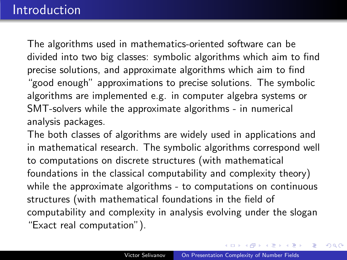The algorithms used in mathematics-oriented software can be divided into two big classes: symbolic algorithms which aim to find precise solutions, and approximate algorithms which aim to find "good enough" approximations to precise solutions. The symbolic algorithms are implemented e.g. in computer algebra systems or SMT-solvers while the approximate algorithms - in numerical analysis packages.

The both classes of algorithms are widely used in applications and in mathematical research. The symbolic algorithms correspond well to computations on discrete structures (with mathematical foundations in the classical computability and complexity theory) while the approximate algorithms - to computations on continuous structures (with mathematical foundations in the field of computability and complexity in analysis evolving under the slogan "Exact real computation").

 $A \oplus A \times A \oplus A \times A \oplus A$ 

 $QQ$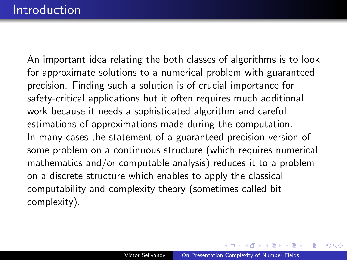An important idea relating the both classes of algorithms is to look for approximate solutions to a numerical problem with guaranteed precision. Finding such a solution is of crucial importance for safety-critical applications but it often requires much additional work because it needs a sophisticated algorithm and careful estimations of approximations made during the computation. In many cases the statement of a guaranteed-precision version of some problem on a continuous structure (which requires numerical mathematics and/or computable analysis) reduces it to a problem on a discrete structure which enables to apply the classical computability and complexity theory (sometimes called bit complexity).

**何 ト ィヨ ト ィヨ ト**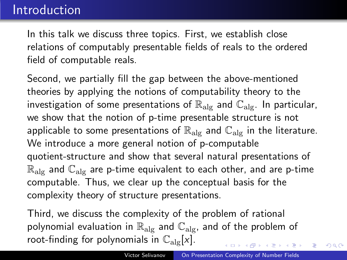In this talk we discuss three topics. First, we establish close relations of computably presentable fields of reals to the ordered field of computable reals.

Second, we partially fill the gap between the above-mentioned theories by applying the notions of computability theory to the investigation of some presentations of  $\mathbb{R}_{\text{abs}}$  and  $\mathbb{C}_{\text{abs}}$ . In particular, we show that the notion of p-time presentable structure is not applicable to some presentations of  $\mathbb{R}_{\text{alg}}$  and  $\mathbb{C}_{\text{alg}}$  in the literature. We introduce a more general notion of p-computable quotient-structure and show that several natural presentations of  $\mathbb{R}_{\text{alg}}$  and  $\mathbb{C}_{\text{alg}}$  are p-time equivalent to each other, and are p-time computable. Thus, we clear up the conceptual basis for the complexity theory of structure presentations.

Third, we discuss the complexity of the problem of rational polynomial evaluation in  $\mathbb{R}_{\text{alg}}$  and  $\mathbb{C}_{\text{alg}}$ , and of the problem of root-finding for polynomials in  $\mathbb{C}_{\text{alg}}[x]$ .

 $QQ$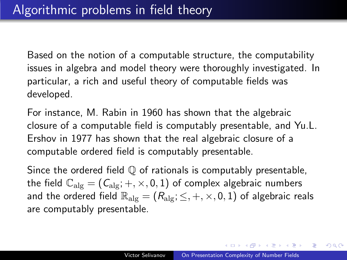Based on the notion of a computable structure, the computability issues in algebra and model theory were thoroughly investigated. In particular, a rich and useful theory of computable fields was developed.

For instance, M. Rabin in 1960 has shown that the algebraic closure of a computable field is computably presentable, and Yu.L. Ershov in 1977 has shown that the real algebraic closure of a computable ordered field is computably presentable.

Since the ordered field  $\mathbb Q$  of rationals is computably presentable, the field  $\mathbb{C}_{\text{alg}} = (C_{\text{alg}}; +, \times, 0, 1)$  of complex algebraic numbers and the ordered field  $\mathbb{R}_{\text{alg}} = (R_{\text{alg}}; \leq, +, \times, 0, 1)$  of algebraic reals are computably presentable.

 $\left\{ \bigoplus_k k \bigoplus_k k \bigoplus_k k \right\}$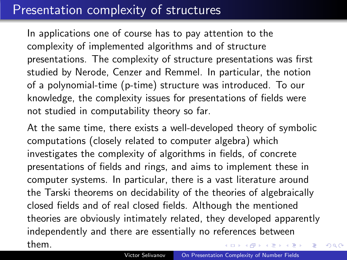## Presentation complexity of structures

In applications one of course has to pay attention to the complexity of implemented algorithms and of structure presentations. The complexity of structure presentations was first studied by Nerode, Cenzer and Remmel. In particular, the notion of a polynomial-time (p-time) structure was introduced. To our knowledge, the complexity issues for presentations of fields were not studied in computability theory so far.

At the same time, there exists a well-developed theory of symbolic computations (closely related to computer algebra) which investigates the complexity of algorithms in fields, of concrete presentations of fields and rings, and aims to implement these in computer systems. In particular, there is a vast literature around the Tarski theorems on decidability of the theories of algebraically closed fields and of real closed fields. Although the mentioned theories are obviously intimately related, they developed apparently independently and there are essentially no references between them. K 御 ▶ K 君 ▶ K 君 ▶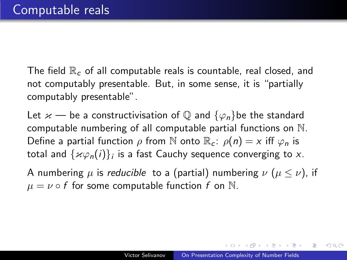The field  $\mathbb{R}_c$  of all computable reals is countable, real closed, and not computably presentable. But, in some sense, it is "partially computably presentable".

Let  $\varkappa$  — be a constructivisation of  $\mathbb Q$  and  $\{\varphi_n\}$ be the standard computable numbering of all computable partial functions on N. Define a partial function  $\rho$  from N onto  $\mathbb{R}_c$ :  $\rho(n) = x$  iff  $\varphi_n$  is total and  $\{\varkappa\varphi_{n}(i)\}_{i}$  is a fast Cauchy sequence converging to  $x.$ 

A numbering  $\mu$  is reducible to a (partial) numbering  $\nu$  ( $\mu \le \nu$ ), if  $\mu = \nu \circ f$  for some computable function f on N.

**ALCOHOL: ALCOHOL:**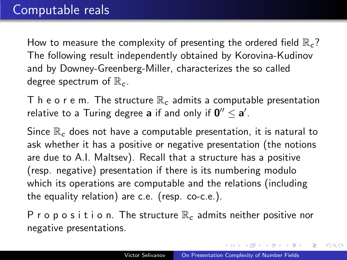How to measure the complexity of presenting the ordered field  $\mathbb{R}_{c}$ ? The following result independently obtained by Korovina-Kudinov and by Downey-Greenberg-Miller, characterizes the so called degree spectrum of  $\mathbb{R}_c$ .

T h e o r e m. The structure  $\mathbb{R}_{c}$  admits a computable presentation relative to a Turing degree  $\mathbf a$  if and only if  $\mathbf 0''\leq \mathbf a'$ .

Since  $\mathbb{R}_c$  does not have a computable presentation, it is natural to ask whether it has a positive or negative presentation (the notions are due to A.I. Maltsev). Recall that a structure has a positive (resp. negative) presentation if there is its numbering modulo which its operations are computable and the relations (including the equality relation) are c.e. (resp. co-c.e.).

P r o p o s i t i o n. The structure  $\mathbb{R}_c$  admits neither positive nor negative presentations.

 $QQ$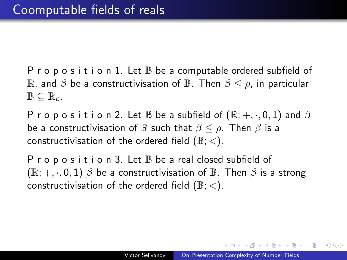P r o p o s i t i o n 1. Let  $\mathbb B$  be a computable ordered subfield of R, and  $\beta$  be a constructivisation of B. Then  $\beta \leq \rho$ , in particular  $\mathbb{B} \subseteq \mathbb{R}_{c}$ .

P r o p o s i t i o n 2. Let  $\mathbb B$  be a subfield of  $(\mathbb R; +, \cdot, 0, 1)$  and  $\beta$ be a constructivisation of  $\mathbb B$  such that  $\beta \leq \rho$ . Then  $\beta$  is a constructivisation of the ordered field  $(\mathbb{B};<)$ .

P r o p o s i t i o n 3. Let  $\mathbb B$  be a real closed subfield of  $(\mathbb{R}; +, \cdot, 0, 1)$   $\beta$  be a constructivisation of  $\mathbb{B}$ . Then  $\beta$  is a strong constructivisation of the ordered field  $(\mathbb{B};<)$ .

AD ▶ ◀ ヨ ▶ ◀ ヨ ▶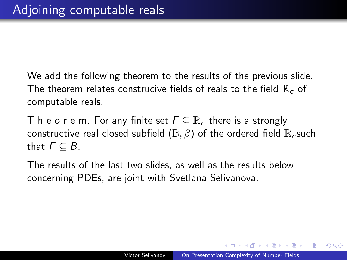We add the following theorem to the results of the previous slide. The theorem relates construcive fields of reals to the field  $\mathbb{R}_{c}$  of computable reals.

T h e o r e m. For any finite set  $F \subseteq \mathbb{R}^2$  there is a strongly constructive real closed subfield ( $\mathbb{B}, \beta$ ) of the ordered field  $\mathbb{R}_c$  such that  $F \subseteq B$ .

The results of the last two slides, as well as the results below concerning PDEs, are joint with Svetlana Selivanova.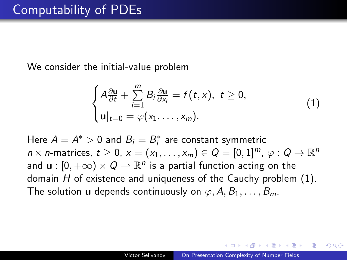We consider the initial-value problem

$$
\begin{cases}\nA\frac{\partial \mathbf{u}}{\partial t} + \sum_{i=1}^{m} B_{i} \frac{\partial \mathbf{u}}{\partial x_{i}} = f(t, x), \ t \geq 0, \\
\mathbf{u}|_{t=0} = \varphi(x_{1}, \ldots, x_{m}).\n\end{cases}
$$
\n(1)

Here  $A = A^* > 0$  and  $B_i = B_i^*$  are constant symmetric  $n \times n$ -matrices,  $t \geq 0$ ,  $x = (x_1, \ldots, x_m) \in Q = [0, 1]^m$ ,  $\varphi : Q \to \mathbb{R}^n$ and  $\mathbf{u}:[0,+\infty)\times Q\rightharpoonup \mathbb{R}^n$  is a partial function acting on the domain  $H$  of existence and uniqueness of the Cauchy problem  $(1)$ . The solution **u** depends continuously on  $\varphi$ , A, B<sub>1</sub>, ..., B<sub>m</sub>.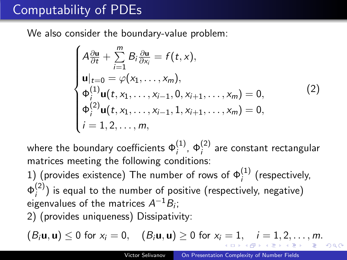# Computability of PDEs

We also consider the boundary-value problem:

$$
\begin{cases}\nA \frac{\partial \mathbf{u}}{\partial t} + \sum_{i=1}^{m} B_{i} \frac{\partial \mathbf{u}}{\partial x_{i}} = f(t, x), \\
\mathbf{u}|_{t=0} = \varphi(x_{1}, \dots, x_{m}), \\
\Phi_{i}^{(1)} \mathbf{u}(t, x_{1}, \dots, x_{i-1}, 0, x_{i+1}, \dots, x_{m}) = 0, \\
\varphi_{i}^{(2)} \mathbf{u}(t, x_{1}, \dots, x_{i-1}, 1, x_{i+1}, \dots, x_{m}) = 0, \\
i = 1, 2, \dots, m,\n\end{cases}
$$
\n(2)

where the boundary coefficients  $\Phi^{(1)}_i$ ,  $\Phi^{(2)}_i$  are constant rectangular matrices meeting the following conditions:

1) (provides existence) The number of rows of  $\Phi^{(1)}_i$  (respectively,  $\Phi_i^{(2)}$  $\binom{1}{i}$  is equal to the number of positive (respectively, negative) eigenvalues of the matrices  $A^{-1}B_i$ ; 2) (provides uniqueness) Dissipativity:

 $(B_i \mathbf{u}, \mathbf{u}) \le 0$  for  $x_i = 0$ ,  $(B_i \mathbf{u}, \mathbf{u}) \ge 0$  for  $x_i = 1$ ,  $i = 1, 2, ..., m$ .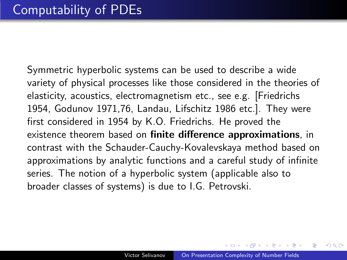Symmetric hyperbolic systems can be used to describe a wide variety of physical processes like those considered in the theories of elasticity, acoustics, electromagnetism etc., see e.g. [Friedrichs 1954, Godunov 1971,76, Landau, Lifschitz 1986 etc.]. They were first considered in 1954 by K.O. Friedrichs. He proved the existence theorem based on **finite difference approximations**, in contrast with the Schauder-Cauchy-Kovalevskaya method based on approximations by analytic functions and a careful study of infinite series. The notion of a hyperbolic system (applicable also to broader classes of systems) is due to I.G. Petrovski.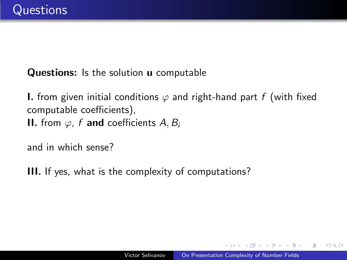Questions: Is the solution **u** computable

**I.** from given initial conditions  $\varphi$  and right-hand part f (with fixed computable coefficients), II. from  $\varphi$ , f and coefficients A, B<sub>i</sub>

and in which sense?

III. If yes, what is the complexity of computations?

in a market man

 $\Omega$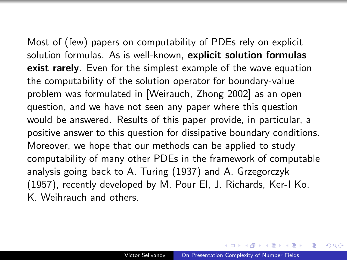Most of (few) papers on computability of PDEs rely on explicit solution formulas. As is well-known, explicit solution formulas **exist rarely**. Even for the simplest example of the wave equation the computability of the solution operator for boundary-value problem was formulated in [Weirauch, Zhong 2002] as an open question, and we have not seen any paper where this question would be answered. Results of this paper provide, in particular, a positive answer to this question for dissipative boundary conditions. Moreover, we hope that our methods can be applied to study computability of many other PDEs in the framework of computable analysis going back to A. Turing (1937) and A. Grzegorczyk (1957), recently developed by M. Pour El, J. Richards, Ker-I Ko, K. Weihrauch and others.

 $\mathcal{A}$  and  $\mathcal{A}$  . The set of  $\mathcal{B}$  is a set of  $\mathcal{B}$  is a set of  $\mathcal{B}$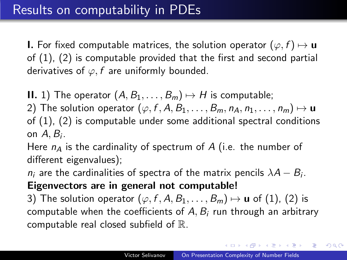# Results on computability in PDEs

**I.** For fixed computable matrices, the solution operator  $(\varphi, f) \mapsto u$ of (1), (2) is computable provided that the first and second partial derivatives of  $\varphi$ , f are uniformly bounded.

**II.** 1) The operator  $(A, B_1, \ldots, B_m) \mapsto H$  is computable;

2) The solution operator  $(\varphi, f, A, B_1, \ldots, B_m, n_A, n_1, \ldots, n_m) \mapsto \mathbf{u}$ of (1), (2) is computable under some additional spectral conditions on  $A, B_i$ .

Here  $n_A$  is the cardinality of spectrum of A (i.e. the number of different eigenvalues);

 $n_i$  are the cardinalities of spectra of the matrix pencils  $\lambda A - B_i$ . Eigenvectors are in general not computable!

3) The solution operator  $(\varphi, f, A, B_1, \ldots, B_m) \mapsto \mathbf{u}$  of (1), (2) is computable when the coefficients of  $A, B_i$  run through an arbitrary computable real closed subfield of R.

イロト イ押 トイヨ トイヨ トー

E

 $QQ$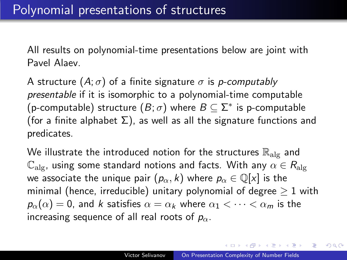All results on polynomial-time presentations below are joint with Pavel Alaev.

A structure  $(A; \sigma)$  of a finite signature  $\sigma$  is *p-computably* presentable if it is isomorphic to a polynomial-time computable (p-computable) structure  $(B;\sigma)$  where  $B\subseteq \Sigma^*$  is p-computable (for a finite alphabet  $\Sigma$ ), as well as all the signature functions and predicates.

We illustrate the introduced notion for the structures  $\mathbb{R}_{\text{alg}}$  and  $\mathbb{C}_{\text{als}}$ , using some standard notions and facts. With any  $\alpha \in R_{\text{als}}$ we associate the unique pair  $(p_\alpha, k)$  where  $p_\alpha \in \mathbb{Q}[x]$  is the minimal (hence, irreducible) unitary polynomial of degree  $>1$  with  $p_{\alpha}(\alpha) = 0$ , and k satisfies  $\alpha = \alpha_k$  where  $\alpha_1 < \cdots < \alpha_m$  is the increasing sequence of all real roots of  $p_{\alpha}$ .

イ押 トイヨ トイヨ トー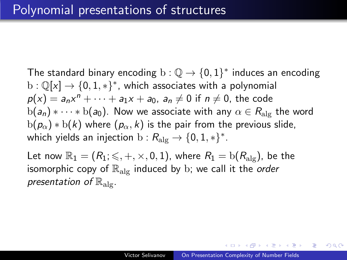The standard binary encoding  $\mathrm{b}:\mathbb{Q} \to \{0,1\}^*$  induces an encoding  $\text{b}: \mathbb{Q}[x] \to \{0, 1, *\}^*$ , which associates with a polynomial  $p(x) = a_n x^n + \cdots + a_1 x + a_0$ ,  $a_n \neq 0$  if  $n \neq 0$ , the code  $b(a_n) * \cdots * b(a_0)$ . Now we associate with any  $\alpha \in R_{\text{alg}}$  the word  $b(p_\alpha) * b(k)$  where  $(p_\alpha, k)$  is the pair from the previous slide, which yields an injection  $\mathrm{b}: R_{\mathrm{alg}} \rightarrow \{0, 1, *\}^*.$ 

Let now  $\mathbb{R}_1 = (R_1; \leq, +, \times, 0, 1)$ , where  $R_1 = b(R_{\text{alg}})$ , be the isomorphic copy of  $\mathbb{R}_{\text{alg}}$  induced by b; we call it the order presentation of  $\mathbb{R}_{\text{ale}}$ .

桐 レコ ヨ レコ ヨ レー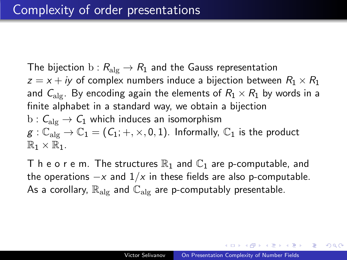The bijection  $b: R_{\text{alg}} \to R_1$  and the Gauss representation  $z = x + iy$  of complex numbers induce a bijection between  $R_1 \times R_1$ and  $C_{\text{alg}}$ . By encoding again the elements of  $R_1 \times R_1$  by words in a finite alphabet in a standard way, we obtain a bijection  $b: C_{\text{alg}} \to C_1$  which induces an isomorphism  $g: \mathbb{C}_{\text{alg}} \to \mathbb{C}_1 = (C_1; +, \times, 0, 1)$ . Informally,  $\mathbb{C}_1$  is the product  $\mathbb{R}_1 \times \mathbb{R}_1$ .

T h e o r e m. The structures  $\mathbb{R}_1$  and  $\mathbb{C}_1$  are p-computable, and the operations  $-x$  and  $1/x$  in these fields are also p-computable. As a corollary,  $\mathbb{R}_{\text{alg}}$  and  $\mathbb{C}_{\text{alg}}$  are p-computably presentable.

**何 ▶ ( ヨ ト ( ヨ ト**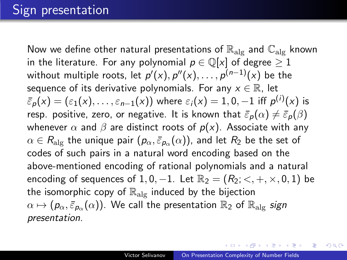Now we define other natural presentations of  $\mathbb{R}_{\mathrm{alg}}$  and  $\mathbb{C}_{\mathrm{alg}}$  known in the literature. For any polynomial  $p \in \mathbb{Q}[x]$  of degree  $\geq 1$ without multiple roots, let  $\rho'(x), \rho''(x), \ldots, \rho^{(n-1)}(x)$  be the sequence of its derivative polynomials. For any  $x \in \mathbb{R}$ , let  $\bar{\varepsilon}_{\rho}(\mathsf{x})=(\varepsilon_1(\mathsf{x}),\ldots,\varepsilon_{n-1}(\mathsf{x}))$  where  $\varepsilon_i(\mathsf{x})=1,0,-1$  iff  $\rho^{(i)}(\mathsf{x})$  is resp. positive, zero, or negative. It is known that  $\bar{\varepsilon}_p(\alpha) \neq \bar{\varepsilon}_p(\beta)$ whenever  $\alpha$  and  $\beta$  are distinct roots of  $p(x)$ . Associate with any  $\alpha\in R_\text{alg}$  the unique pair  $(\pmb{\rho}_\alpha, \bar{\varepsilon}_{\pmb{\rho}_\alpha}(\alpha))$ , and let  $R_2$  be the set of codes of such pairs in a natural word encoding based on the above-mentioned encoding of rational polynomials and a natural encoding of sequences of 1, 0, -1. Let  $\mathbb{R}_2 = (R_2; \langle , +, \times, 0, 1)$  be the isomorphic copy of  $\mathbb{R}_{\text{alg}}$  induced by the bijection  $\alpha \mapsto (\pmb{\rho}_\alpha, \bar{\varepsilon}_{\pmb{\rho}_\alpha}(\alpha))$ . We call the presentation  $\mathbb{R}_2$  of  $\mathbb{R}_{\text{alg}}$  *sign* presentation.

**≮ロト (何) (日) (日)**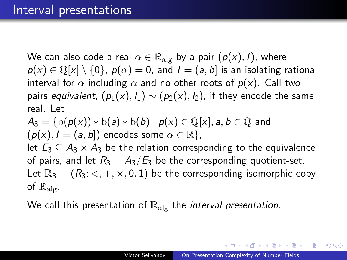We can also code a real  $\alpha \in \mathbb{R}_{\text{alg}}$  by a pair  $(p(x), I)$ , where  $p(x) \in \mathbb{Q}[x] \setminus \{0\}, p(\alpha) = 0$ , and  $I = (a, b]$  is an isolating rational interval for  $\alpha$  including  $\alpha$  and no other roots of  $p(x)$ . Call two pairs equivalent,  $(p_1(x), l_1) \sim (p_2(x), l_2)$ , if they encode the same real. Let

 $A_3 = \{b(p(x)) * b(a) * b(b) \mid p(x) \in \mathbb{Q}[x], a, b \in \mathbb{Q} \text{ and }$  $(p(x), I = (a, b])$  encodes some  $\alpha \in \mathbb{R}$ , let  $E_3 \subseteq A_3 \times A_3$  be the relation corresponding to the equivalence of pairs, and let  $R_3 = A_3/E_3$  be the corresponding quotient-set. Let  $\mathbb{R}_3 = (R_3; \langle , +, \times, 0, 1)$  be the corresponding isomorphic copy of  $\mathbb{R}_{\text{alo}}$ .

We call this presentation of  $\mathbb{R}_{\text{alg}}$  the *interval presentation*.

K 何 ▶ K ヨ ▶ K ヨ ▶ ...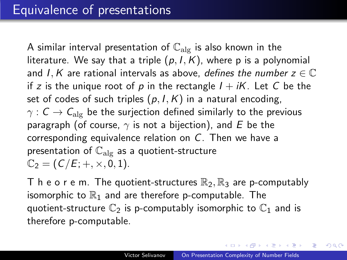A similar interval presentation of  $\mathbb{C}_{\text{alg}}$  is also known in the literature. We say that a triple  $(p, I, K)$ , where p is a polynomial and I, K are rational intervals as above, defines the number  $z \in \mathbb{C}$ if z is the unique root of p in the rectangle  $I + iK$ . Let C be the set of codes of such triples  $(p, I, K)$  in a natural encoding,  $\gamma$  :  $C \rightarrow C_{\text{alg}}$  be the surjection defined similarly to the previous paragraph (of course,  $\gamma$  is not a bijection), and E be the corresponding equivalence relation on C. Then we have a presentation of  $\mathbb{C}_{\text{alg}}$  as a quotient-structure  $\mathbb{C}_2 = (C/E; +, \times, 0, 1).$ 

T h e o r e m. The quotient-structures  $\mathbb{R}_2$ ,  $\mathbb{R}_3$  are p-computably isomorphic to  $\mathbb{R}_1$  and are therefore p-computable. The quotient-structure  $\mathbb{C}_2$  is p-computably isomorphic to  $\mathbb{C}_1$  and is therefore p-computable.

**≮ロト (何) (日) (日)** 

 $QQ$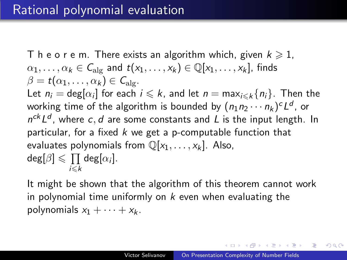T h e o r e m. There exists an algorithm which, given  $k \geq 1$ ,  $\alpha_1, \ldots, \alpha_k \in C_{\text{alg}}$  and  $t(x_1, \ldots, x_k) \in \mathbb{Q}[x_1, \ldots, x_k]$ , finds  $\beta = t(\alpha_1, \ldots, \alpha_k) \in C_{\text{alg}}$ . Let  $n_i = \deg[\alpha_i]$  for each  $i \leq k$ , and let  $n = \max_{i \leq k} \{n_i\}$ . Then the working time of the algorithm is bounded by  $(n_1 n_2 \cdots n_k)^c L^d$ , or  $n^{ck} L^d$ , where c, d are some constants and L is the input length. In particular, for a fixed  $k$  we get a p-computable function that evaluates polynomials from  $\mathbb{Q}[x_1, \ldots, x_k]$ . Also,  $deg[\beta] \leqslant \prod deg[\alpha_i].$  $i< k$ 

It might be shown that the algorithm of this theorem cannot work in polynomial time uniformly on  $k$  even when evaluating the polynomials  $x_1 + \cdots + x_k$ .

イ押 トイヨ トイヨ トー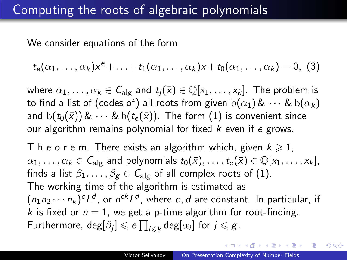### Computing the roots of algebraic polynomials

We consider equations of the form

$$
t_{e}(\alpha_1,\ldots,\alpha_k)x^{e}+\ldots+t_1(\alpha_1,\ldots,\alpha_k)x+t_0(\alpha_1,\ldots,\alpha_k)=0, (3)
$$

where  $\alpha_1, \ldots, \alpha_k \in C_{\text{alg}}$  and  $t_i(\bar{x}) \in \mathbb{Q}[x_1, \ldots, x_k]$ . The problem is to find a list of (codes of) all roots from given  $b(\alpha_1) & \cdots & b(\alpha_k)$ and  $b(t_0(\bar{x})) \& \cdots \& b(t_{\epsilon}(\bar{x}))$ . The form (1) is convenient since our algorithm remains polynomial for fixed  $k$  even if  $e$  grows.

T h e o r e m. There exists an algorithm which, given  $k \geq 1$ .  $\alpha_1, \ldots, \alpha_k \in C_{\text{alg}}$  and polynomials  $t_0(\bar{x}), \ldots, t_e(\bar{x}) \in \mathbb{Q}[x_1, \ldots, x_k],$ finds a list  $\beta_1, \ldots, \beta_g \in C_{\text{alg}}$  of all complex roots of (1). The working time of the algorithm is estimated as  $(n_1 n_2 \cdots n_k)^c L^d$ , or  $n^{ck} L^d$ , where c, d are constant. In particular, if k is fixed or  $n = 1$ , we get a p-time algorithm for root-finding. Furthermore,  $\deg[\beta_j] \leqslant e \prod_{i \leqslant k} \deg[\alpha_i]$  for  $j \leqslant g$ .

イロメ イタメ イモメ イモメー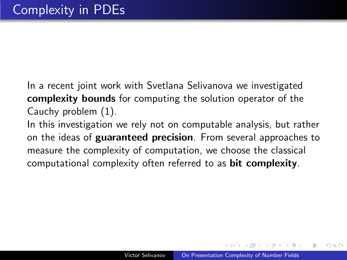In a recent joint work with Svetlana Selivanova we investigated complexity bounds for computing the solution operator of the Cauchy problem (1).

In this investigation we rely not on computable analysis, but rather on the ideas of guaranteed precision. From several approaches to measure the complexity of computation, we choose the classical computational complexity often referred to as bit complexity.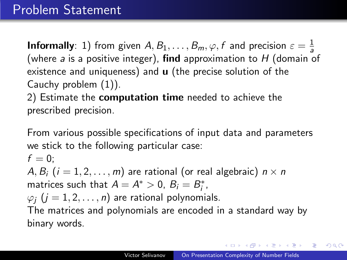**Informally**: 1) from given  $A, B_1, \ldots, B_m, \varphi, f$  and precision  $\varepsilon = \frac{1}{a}$ a (where  $a$  is a positive integer), find approximation to  $H$  (domain of existence and uniqueness) and u (the precise solution of the Cauchy problem (1)).

2) Estimate the computation time needed to achieve the prescribed precision.

From various possible specifications of input data and parameters we stick to the following particular case:

 $f = 0$ : A,  $B_i$  ( $i = 1, 2, ..., m$ ) are rational (or real algebraic)  $n \times n$ matrices such that  $A = A^* > 0$ ,  $B_i = B_i^*$ ,  $\varphi_i$  ( $j = 1, 2, \ldots, n$ ) are rational polynomials.

The matrices and polynomials are encoded in a standard way by binary words.

メラト メミトメミト

 $QQ$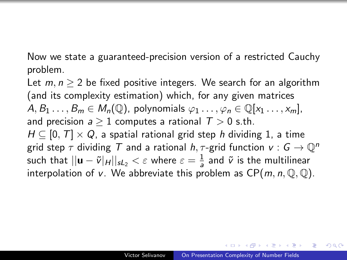Now we state a guaranteed-precision version of a restricted Cauchy problem.

Let  $m, n > 2$  be fixed positive integers. We search for an algorithm (and its complexity estimation) which, for any given matrices  $A, B_1, \ldots, B_m \in M_n(\mathbb{Q})$ , polynomials  $\varphi_1, \ldots, \varphi_n \in \mathbb{Q}[x_1, \ldots, x_m],$ and precision  $a > 1$  computes a rational  $T > 0$  s.th.  $H \subseteq [0, T] \times Q$ , a spatial rational grid step h dividing 1, a time grid step  $\tau$  dividing  $\tau$  and a rational  $h, \tau$ -grid function  $v : G \to \mathbb{Q}^n$ such that  $||\mathbf{u}-\tilde{v}|_H||_{\mathit{sL}_2}<\varepsilon$  where  $\varepsilon=\frac{1}{\mathit{a}}$  $\frac{1}{a}$  and  $\tilde{v}$  is the multilinear interpolation of v. We abbreviate this problem as  $CP(m, n, \mathbb{Q}, \mathbb{Q})$ .

桐 レコ ヨ レコ ヨ レー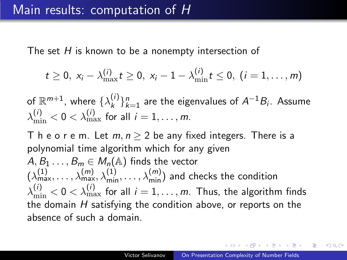The set H is known to be a nonempty intersection of

$$
t \geq 0, \; x_i - \lambda_{\max}^{(i)} t \geq 0, \; x_i - 1 - \lambda_{\min}^{(i)} t \leq 0, \; (i = 1, \ldots, m)
$$

of  $\mathbb{R}^{m+1}$ , where  $\{\lambda_k^{(i)}\}$  $\binom{f}{k}$  are the eigenvalues of  $A^{-1}B_i$ . Assume  $\lambda_{\min}^{(i)} < 0 < \lambda_{\max}^{(i)}$  for all  $i = 1, \ldots, m$ .

T h e o r e m. Let  $m, n > 2$  be any fixed integers. There is a polynomial time algorithm which for any given  $A, B_1 \ldots, B_m \in M_n(\mathbb{A})$  finds the vector  $(\lambda_{\max}^{(1)},\ldots,\lambda_{\max}^{(m)},\lambda_{\min}^{(1)},\ldots,\lambda_{\min}^{(m)})$  and checks the condition  $\lambda_{\min}^{(i)} < 0 < \lambda_{\max}^{(i)}$  for all  $i=1,\ldots,m.$  Thus, the algorithm finds the domain  $H$  satisfying the condition above, or reports on the absence of such a domain.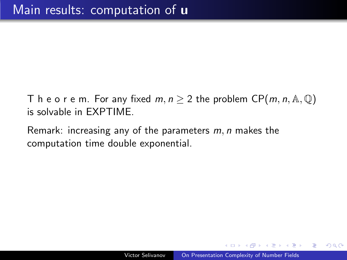- T h e o r e m. For any fixed  $m, n \geq 2$  the problem  $\mathsf{CP}(m, n, \mathbb{A}, \mathbb{Q})$ is solvable in EXPTIME.
- Remark: increasing any of the parameters  $m$ ,  $n$  makes the computation time double exponential.

 $\Omega$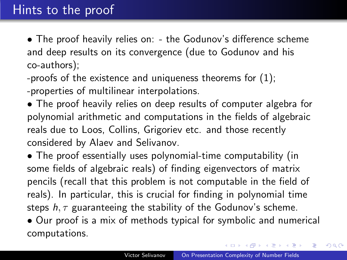# Hints to the proof

• The proof heavily relies on: - the Godunov's difference scheme and deep results on its convergence (due to Godunov and his co-authors);

-proofs of the existence and uniqueness theorems for (1); -properties of multilinear interpolations.

• The proof heavily relies on deep results of computer algebra for polynomial arithmetic and computations in the fields of algebraic reals due to Loos, Collins, Grigoriev etc. and those recently considered by Alaev and Selivanov.

• The proof essentially uses polynomial-time computability (in some fields of algebraic reals) of finding eigenvectors of matrix pencils (recall that this problem is not computable in the field of reals). In particular, this is crucial for finding in polynomial time steps  $h, \tau$  guaranteeing the stability of the Godunov's scheme.

• Our proof is a mix of methods typical for symbolic and numerical computations.

イ何 トイヨ トイヨト

 $QQ$